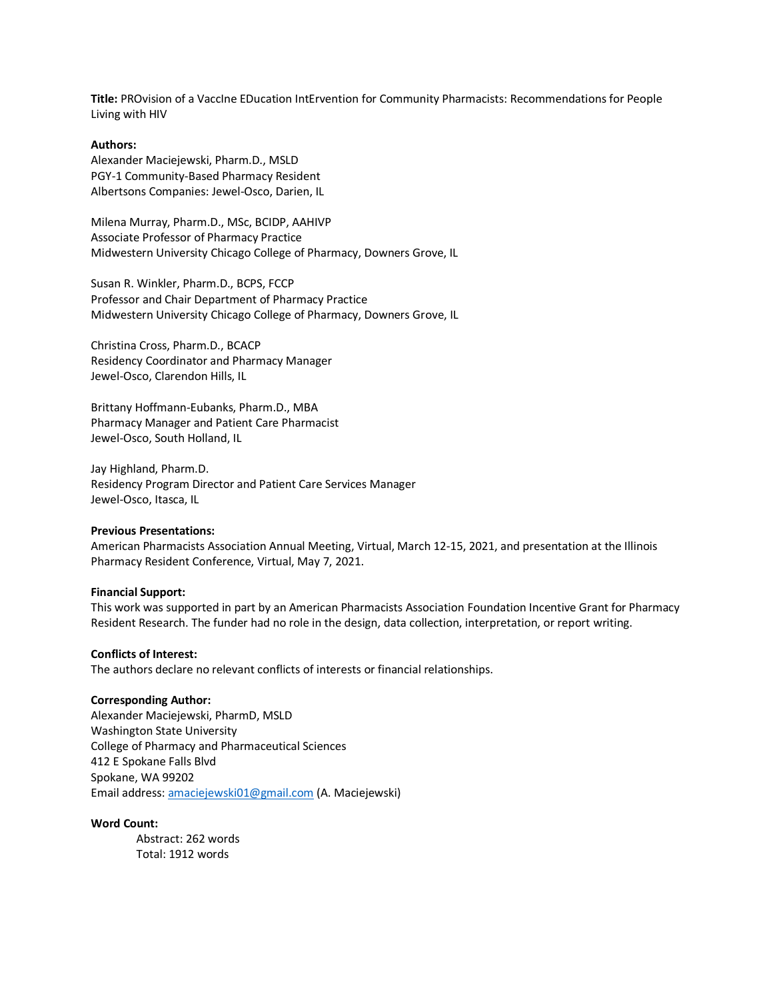**Title:** PROvision of a VaccIne EDucation IntErvention for Community Pharmacists: Recommendations for People Living with HIV

# **Authors:**

Alexander Maciejewski, Pharm.D., MSLD PGY-1 Community-Based Pharmacy Resident Albertsons Companies: Jewel-Osco, Darien, IL

Milena Murray, Pharm.D., MSc, BCIDP, AAHIVP Associate Professor of Pharmacy Practice Midwestern University Chicago College of Pharmacy, Downers Grove, IL

Susan R. Winkler, Pharm.D., BCPS, FCCP Professor and Chair Department of Pharmacy Practice Midwestern University Chicago College of Pharmacy, Downers Grove, IL

Christina Cross, Pharm.D., BCACP Residency Coordinator and Pharmacy Manager Jewel-Osco, Clarendon Hills, IL

Brittany Hoffmann-Eubanks, Pharm.D., MBA Pharmacy Manager and Patient Care Pharmacist Jewel-Osco, South Holland, IL

Jay Highland, Pharm.D. Residency Program Director and Patient Care Services Manager Jewel-Osco, Itasca, IL

## **Previous Presentations:**

American Pharmacists Association Annual Meeting, Virtual, March 12-15, 2021, and presentation at the Illinois Pharmacy Resident Conference, Virtual, May 7, 2021.

#### **Financial Support:**

This work was supported in part by an American Pharmacists Association Foundation Incentive Grant for Pharmacy Resident Research. The funder had no role in the design, data collection, interpretation, or report writing.

#### **Conflicts of Interest:**

The authors declare no relevant conflicts of interests or financial relationships.

# **Corresponding Author:**

Alexander Maciejewski, PharmD, MSLD Washington State University College of Pharmacy and Pharmaceutical Sciences 412 E Spokane Falls Blvd Spokane, WA 99202 Email address: [amaciejewski01@gmail.com](mailto:amaciejewski01@gmail.com) (A. Maciejewski)

#### **Word Count:**

Abstract: 262 words Total: 1912 words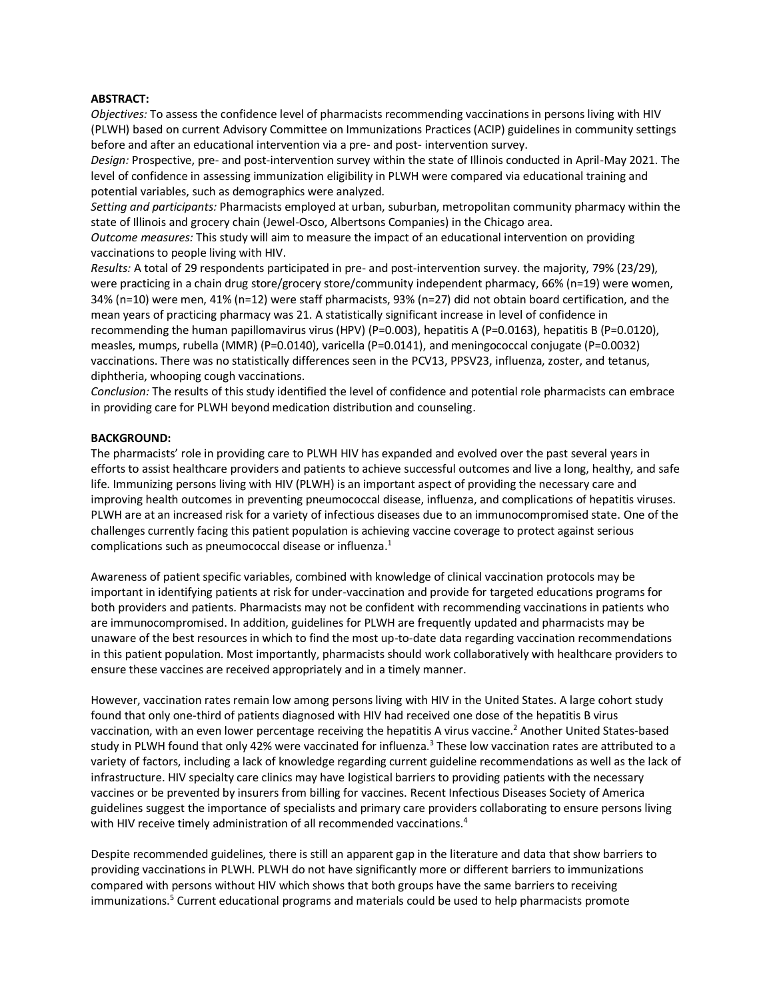#### **ABSTRACT:**

*Objectives:* To assess the confidence level of pharmacists recommending vaccinations in persons living with HIV (PLWH) based on current Advisory Committee on Immunizations Practices (ACIP) guidelines in community settings before and after an educational intervention via a pre- and post- intervention survey.

*Design:* Prospective, pre- and post-intervention survey within the state of Illinois conducted in April-May 2021. The level of confidence in assessing immunization eligibility in PLWH were compared via educational training and potential variables, such as demographics were analyzed.

*Setting and participants:* Pharmacists employed at urban, suburban, metropolitan community pharmacy within the state of Illinois and grocery chain (Jewel-Osco, Albertsons Companies) in the Chicago area.

*Outcome measures:* This study will aim to measure the impact of an educational intervention on providing vaccinations to people living with HIV.

*Results:* A total of 29 respondents participated in pre- and post-intervention survey. the majority, 79% (23/29), were practicing in a chain drug store/grocery store/community independent pharmacy, 66% (n=19) were women, 34% (n=10) were men, 41% (n=12) were staff pharmacists, 93% (n=27) did not obtain board certification, and the mean years of practicing pharmacy was 21. A statistically significant increase in level of confidence in recommending the human papillomavirus virus (HPV) (P=0.003), hepatitis A (P=0.0163), hepatitis B (P=0.0120), measles, mumps, rubella (MMR) (P=0.0140), varicella (P=0.0141), and meningococcal conjugate (P=0.0032) vaccinations. There was no statistically differences seen in the PCV13, PPSV23, influenza, zoster, and tetanus, diphtheria, whooping cough vaccinations.

*Conclusion:* The results of this study identified the level of confidence and potential role pharmacists can embrace in providing care for PLWH beyond medication distribution and counseling.

# **BACKGROUND:**

The pharmacists' role in providing care to PLWH HIV has expanded and evolved over the past several years in efforts to assist healthcare providers and patients to achieve successful outcomes and live a long, healthy, and safe life. Immunizing persons living with HIV (PLWH) is an important aspect of providing the necessary care and improving health outcomes in preventing pneumococcal disease, influenza, and complications of hepatitis viruses. PLWH are at an increased risk for a variety of infectious diseases due to an immunocompromised state. One of the challenges currently facing this patient population is achieving vaccine coverage to protect against serious complications such as pneumococcal disease or influenza.<sup>1</sup>

Awareness of patient specific variables, combined with knowledge of clinical vaccination protocols may be important in identifying patients at risk for under-vaccination and provide for targeted educations programs for both providers and patients. Pharmacists may not be confident with recommending vaccinations in patients who are immunocompromised. In addition, guidelines for PLWH are frequently updated and pharmacists may be unaware of the best resources in which to find the most up-to-date data regarding vaccination recommendations in this patient population. Most importantly, pharmacists should work collaboratively with healthcare providers to ensure these vaccines are received appropriately and in a timely manner.

However, vaccination rates remain low among persons living with HIV in the United States. A large cohort study found that only one-third of patients diagnosed with HIV had received one dose of the hepatitis B virus vaccination, with an even lower percentage receiving the hepatitis A virus vaccine. <sup>2</sup> Another United States-based study in PLWH found that only 42% were vaccinated for influenza.<sup>3</sup> These low vaccination rates are attributed to a variety of factors, including a lack of knowledge regarding current guideline recommendations as well as the lack of infrastructure. HIV specialty care clinics may have logistical barriers to providing patients with the necessary vaccines or be prevented by insurers from billing for vaccines. Recent Infectious Diseases Society of America guidelines suggest the importance of specialists and primary care providers collaborating to ensure persons living with HIV receive timely administration of all recommended vaccinations.<sup>4</sup>

Despite recommended guidelines, there is still an apparent gap in the literature and data that show barriers to providing vaccinations in PLWH. PLWH do not have significantly more or different barriers to immunizations compared with persons without HIV which shows that both groups have the same barriers to receiving immunizations. <sup>5</sup> Current educational programs and materials could be used to help pharmacists promote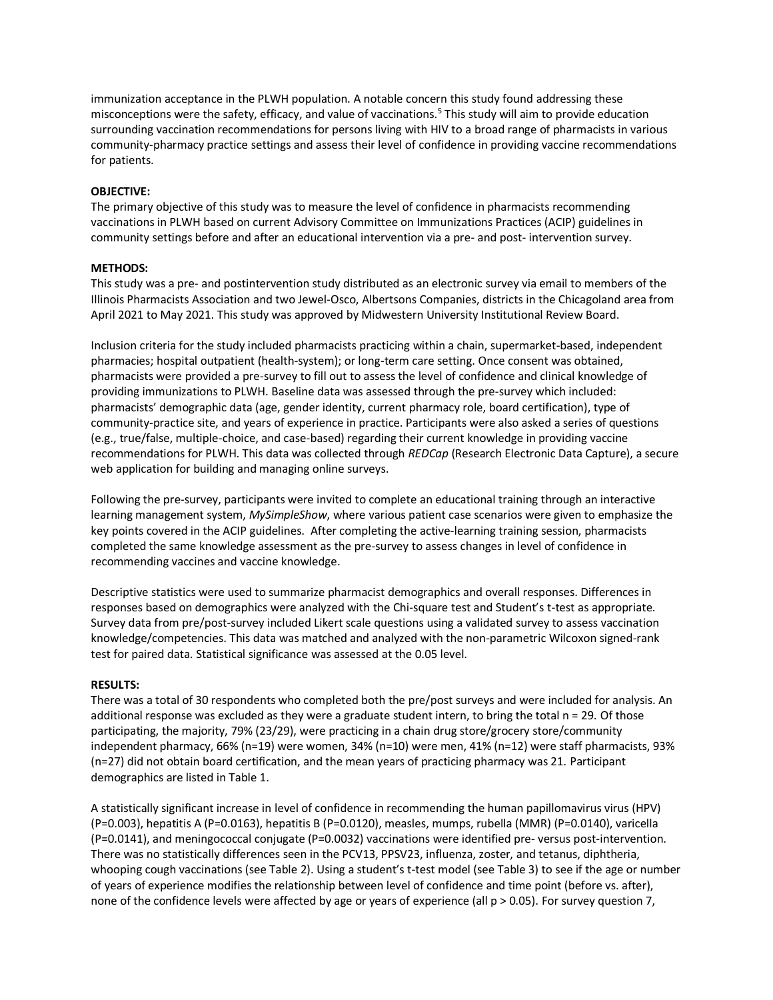immunization acceptance in the PLWH population. A notable concern this study found addressing these misconceptions were the safety, efficacy, and value of vaccinations.<sup>5</sup> This study will aim to provide education surrounding vaccination recommendations for persons living with HIV to a broad range of pharmacists in various community-pharmacy practice settings and assess their level of confidence in providing vaccine recommendations for patients.

# **OBJECTIVE:**

The primary objective of this study was to measure the level of confidence in pharmacists recommending vaccinations in PLWH based on current Advisory Committee on Immunizations Practices (ACIP) guidelines in community settings before and after an educational intervention via a pre- and post- intervention survey.

# **METHODS:**

This study was a pre- and postintervention study distributed as an electronic survey via email to members of the Illinois Pharmacists Association and two Jewel-Osco, Albertsons Companies, districts in the Chicagoland area from April 2021 to May 2021. This study was approved by Midwestern University Institutional Review Board.

Inclusion criteria for the study included pharmacists practicing within a chain, supermarket-based, independent pharmacies; hospital outpatient (health-system); or long-term care setting. Once consent was obtained, pharmacists were provided a pre-survey to fill out to assess the level of confidence and clinical knowledge of providing immunizations to PLWH. Baseline data was assessed through the pre-survey which included: pharmacists' demographic data (age, gender identity, current pharmacy role, board certification), type of community-practice site, and years of experience in practice. Participants were also asked a series of questions (e.g., true/false, multiple-choice, and case-based) regarding their current knowledge in providing vaccine recommendations for PLWH. This data was collected through *REDCap* (Research Electronic Data Capture), a secure web application for building and managing online surveys.

Following the pre-survey, participants were invited to complete an educational training through an interactive learning management system, *MySimpleShow*, where various patient case scenarios were given to emphasize the key points covered in the ACIP guidelines. After completing the active-learning training session, pharmacists completed the same knowledge assessment as the pre-survey to assess changes in level of confidence in recommending vaccines and vaccine knowledge.

Descriptive statistics were used to summarize pharmacist demographics and overall responses. Differences in responses based on demographics were analyzed with the Chi-square test and Student's t-test as appropriate. Survey data from pre/post-survey included Likert scale questions using a validated survey to assess vaccination knowledge/competencies. This data was matched and analyzed with the non-parametric Wilcoxon signed-rank test for paired data. Statistical significance was assessed at the 0.05 level.

## **RESULTS:**

There was a total of 30 respondents who completed both the pre/post surveys and were included for analysis. An additional response was excluded as they were a graduate student intern, to bring the total n = 29. Of those participating, the majority, 79% (23/29), were practicing in a chain drug store/grocery store/community independent pharmacy, 66% (n=19) were women, 34% (n=10) were men, 41% (n=12) were staff pharmacists, 93% (n=27) did not obtain board certification, and the mean years of practicing pharmacy was 21. Participant demographics are listed in Table 1.

A statistically significant increase in level of confidence in recommending the human papillomavirus virus (HPV) (P=0.003), hepatitis A (P=0.0163), hepatitis B (P=0.0120), measles, mumps, rubella (MMR) (P=0.0140), varicella (P=0.0141), and meningococcal conjugate (P=0.0032) vaccinations were identified pre- versus post-intervention. There was no statistically differences seen in the PCV13, PPSV23, influenza, zoster, and tetanus, diphtheria, whooping cough vaccinations (see Table 2). Using a student's t-test model (see Table 3) to see if the age or number of years of experience modifies the relationship between level of confidence and time point (before vs. after), none of the confidence levels were affected by age or years of experience (all  $p > 0.05$ ). For survey question 7,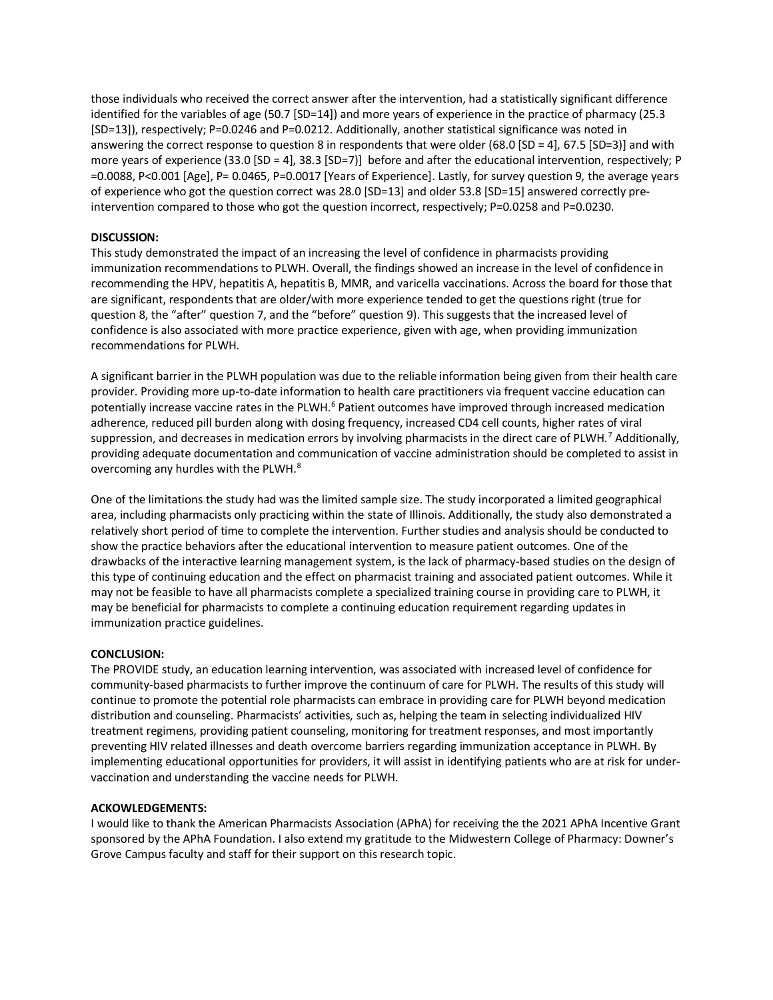those individuals who received the correct answer after the intervention, had a statistically significant difference identified for the variables of age (50.7 [SD=14]) and more years of experience in the practice of pharmacy (25.3 [SD=13]), respectively; P=0.0246 and P=0.0212. Additionally, another statistical significance was noted in answering the correct response to question 8 in respondents that were older (68.0 [SD = 4], 67.5 [SD=3)] and with more years of experience (33.0 [SD = 4], 38.3 [SD=7]] before and after the educational intervention, respectively; P =0.0088, P<0.001 [Age], P= 0.0465, P=0.0017 [Years of Experience]. Lastly, for survey question 9, the average years of experience who got the question correct was 28.0 [SD=13] and older 53.8 [SD=15] answered correctly preintervention compared to those who got the question incorrect, respectively; P=0.0258 and P=0.0230.

# **DISCUSSION:**

This study demonstrated the impact of an increasing the level of confidence in pharmacists providing immunization recommendations to PLWH. Overall, the findings showed an increase in the level of confidence in recommending the HPV, hepatitis A, hepatitis B, MMR, and varicella vaccinations. Across the board for those that are significant, respondents that are older/with more experience tended to get the questions right (true for question 8, the "after" question 7, and the "before" question 9). This suggests that the increased level of confidence is also associated with more practice experience, given with age, when providing immunization recommendations for PLWH.

A significant barrier in the PLWH population was due to the reliable information being given from their health care provider. Providing more up-to-date information to health care practitioners via frequent vaccine education can potentially increase vaccine rates in the PLWH.<sup>6</sup> Patient outcomes have improved through increased medication adherence, reduced pill burden along with dosing frequency, increased CD4 cell counts, higher rates of viral suppression, and decreases in medication errors by involving pharmacists in the direct care of PLWH.<sup>7</sup> Additionally, providing adequate documentation and communication of vaccine administration should be completed to assist in overcoming any hurdles with the PLWH.<sup>8</sup>

One of the limitations the study had was the limited sample size. The study incorporated a limited geographical area, including pharmacists only practicing within the state of Illinois. Additionally, the study also demonstrated a relatively short period of time to complete the intervention. Further studies and analysis should be conducted to show the practice behaviors after the educational intervention to measure patient outcomes. One of the drawbacks of the interactive learning management system, is the lack of pharmacy-based studies on the design of this type of continuing education and the effect on pharmacist training and associated patient outcomes. While it may not be feasible to have all pharmacists complete a specialized training course in providing care to PLWH, it may be beneficial for pharmacists to complete a continuing education requirement regarding updates in immunization practice guidelines.

## **CONCLUSION:**

The PROVIDE study, an education learning intervention, was associated with increased level of confidence for community-based pharmacists to further improve the continuum of care for PLWH. The results of this study will continue to promote the potential role pharmacists can embrace in providing care for PLWH beyond medication distribution and counseling. Pharmacists' activities, such as, helping the team in selecting individualized HIV treatment regimens, providing patient counseling, monitoring for treatment responses, and most importantly preventing HIV related illnesses and death overcome barriers regarding immunization acceptance in PLWH. By implementing educational opportunities for providers, it will assist in identifying patients who are at risk for undervaccination and understanding the vaccine needs for PLWH.

## **ACKOWLEDGEMENTS:**

I would like to thank the American Pharmacists Association (APhA) for receiving the the 2021 APhA Incentive Grant sponsored by the APhA Foundation. I also extend my gratitude to the Midwestern College of Pharmacy: Downer's Grove Campus faculty and staff for their support on this research topic.